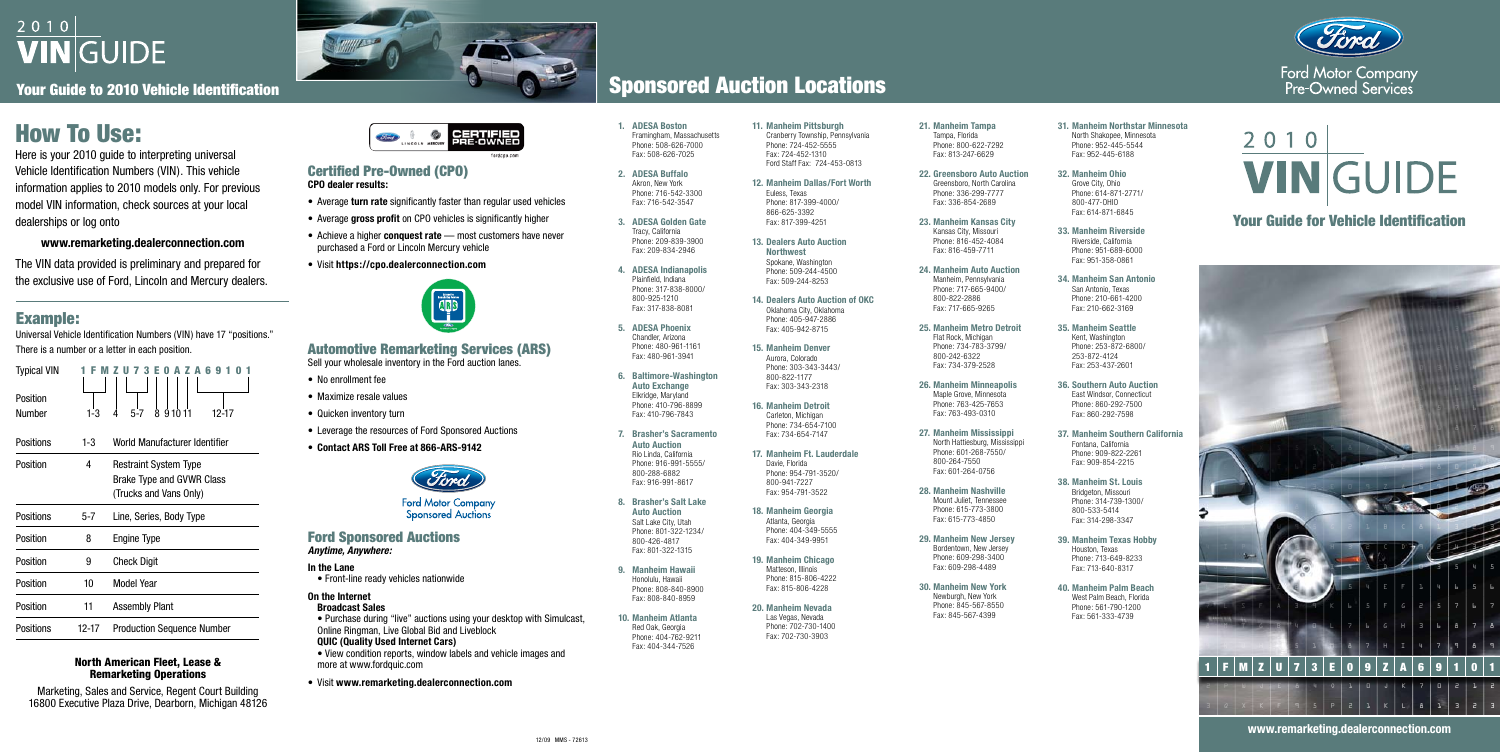# 2010 **VIN**GUIDE

Your Guide to 2010 Vehicle Identification

# How To Use:

Here is your 2010 guide to interpreting universal Vehicle Identification Numbers (VIN). This vehicle information applies to 2010 models only. For previous model VIN information, check sources at your local dealerships or log onto

#### **www.remarketing.dealerconnection.com**

The VIN data provided is preliminary and prepared for the exclusive use of Ford, Lincoln and Mercury dealers.

**9. Manheim Hawaii** Honolulu, Hawaii Phone: 808-840-8900 Fax: 808-840-8959 **10. Manheim Atlanta** Red Oak, Georgia Phone: 404-762-9211 Fax: 404-344-7526

| 1. ADESA Boston<br>Framingham, Massachusetts<br>Phone: 508-626-7000<br>Fax: 508-626-7025 | 11. Manheim Pittsburgh<br>Cranberry Township, Pennsylvania<br>Phone: 724-452-5555<br>Fax: 724-452-1310<br>Ford Staff Fax: 724-453-0813 | 21. |
|------------------------------------------------------------------------------------------|----------------------------------------------------------------------------------------------------------------------------------------|-----|
| 2. ADESA Buffalo<br>Akron, New York<br>Phone: 716-542-3300<br>Fax: 716-542-3547          | 12. Manheim Dallas/Fort Worth<br>Euless, Texas<br>Phone: 817-399-4000/<br>866-625-3392                                                 | 22. |
| 3. ADESA Golden Gate<br>Tracy, California<br>Phone: 209-839-3900<br>Fax: 209-834-2946    | Fax: 817-399-4251<br><b>13. Dealers Auto Auction</b>                                                                                   | 23. |
| 4. ADESA Indianapolis<br>Plainfield, Indiana<br>Phone: 317-838-8000/                     | <b>Northwest</b><br>Spokane, Washington<br>Phone: 509-244-4500<br>Fax: 509-244-8253                                                    | 24. |
| 800-925-1210<br>Fax: 317-838-8081                                                        | 14. Dealers Auto Auction of OKC<br>Oklahoma City, Oklahoma<br>Phone: 405-947-2886                                                      |     |
| 5. ADESA Phoenix<br>Chandler, Arizona<br>Phone: 480-961-1161                             | Fax: 405-942-8715<br>15. Manheim Denver                                                                                                | 25. |
| Fax: 480-961-3941<br>6. Baltimore-Washington                                             | Aurora, Colorado<br>Phone: 303-343-3443/<br>800-822-1177                                                                               |     |
| <b>Auto Exchange</b><br>Elkridge, Maryland<br>Phone: 410-796-8899                        | Fax: 303-343-2318                                                                                                                      | 26. |
| Fax: 410-796-7843                                                                        | 16. Manheim Detroit<br>Carleton, Michigan<br>Phone: 734-654-7100                                                                       |     |
| 7. Brasher's Sacramento<br><b>Auto Auction</b><br>Rio Linda, California                  | Fax: 734-654-7147<br>17. Manheim Ft. Lauderdale                                                                                        | 27. |
| Phone: 916-991-5555/<br>800-288-6882<br>Fax: 916-991-8617                                | Davie, Florida<br>Phone: 954-791-3520/<br>800-941-7227<br>Fax: 954-791-3522                                                            | 28. |
| 8. Brasher's Salt Lake<br><b>Auto Auction</b>                                            | 18. Manheim Georgia                                                                                                                    |     |
| Salt Lake City, Utah<br>Phone: 801-322-1234/<br>800-426-4817                             | Atlanta, Georgia<br>Phone: 404-349-5555<br>Fax: 404-349-9951                                                                           | 29. |
| Fax: 801-322-1315                                                                        | 19. Manheim Chicago                                                                                                                    |     |

Matteson, Illinois Phone: 815-806-4222 Fax: 815-806-4228

**20. Manheim Nevada** Las Vegas, Nevada Phone: 702-730-1400 Fax: 702-730-3903

**21. Manheim Tampa** Tampa, Florida Phone: 800-622-7292 Fax: 813-247-6629

**22. Greensboro Auto Auction** Greensboro, North Carolina Phone: 336-299-7777 Fax: 336-854-2689

**23. Manheim Kansas City** Kansas City, Missouri Phone: 816-452-4084 Fax: 816-459-7711

- Average **turn rate** significantly faster than regular used vehicles
- Average gross profit on CPO vehicles is significantly higher
- Achieve a higher **conquest rate** most customers have never purchased a Ford or Lincoln Mercury vehicle
- • Visit **https://cpo.dealerconnection.com**



**24. Manheim Auto Auction**  Manheim, Pennsylvania Phone: 717-665-9400/ 800-822-2886 Fax: 717-665-9265

**25. Manheim Metro Detroit** Flat Rock, Michigan Phone: 734-783-3799/ 800-242-6322 Fax: 734-379-2528

- No enrollment fee
- Maximize resale values
- Quicken inventory turn
- Leverage the resources of Ford Sponsored Auctions
- • **Contact ARS Toll Free at 866-ARS-9142**



**Ford Motor Company Sponsored Auctions** 

**26. Manheim Minneapolis** Maple Grove, Minnesota Phone: 763-425-7653 Fax: 763-493-0310

**27. Manheim Mississippi** North Hattiesburg, Mississippi Phone: 601-268-7550/ 800-264-7550 Fax: 601-264-0756

**28. Manheim Nashville** Mount Juliet, Tennessee Phone: 615-773-3800 Fax: 615-773-4850

**29. Manheim New Jersey** Bordentown, New Jersey Phone: 609-298-3400 Fax: 609-298-4489

**30. Manheim New York** Newburgh, New York Phone: 845-567-8550 Fax: 845-567-4399

**31. Manheim Northstar Minnesota**  North Shakopee, Minnesota Phone: 952-445-5544 Fax: 952-445-6188

**32. Manheim Ohio** Grove City, Ohio Phone: 614-871-2771/ 800-477-OHIO Fax: 614-871-6845

- **33. Manheim Riverside** Riverside, California Phone: 951-689-6000 Fax: 951-358-0861
- **34. Manheim San Antonio** San Antonio, Texas Phone: 210-661-4200 Fax: 210-662-3169
- **35. Manheim Seattle** Kent, Washington Phone: 253-872-6800/ 253-872-4124 Fax: 253-437-2601
- **36. Southern Auto Auction** East Windsor, Connecticut Phone: 860-292-7500 Fax: 860-292-7598
- **37. Manheim Southern California**  Fontana, California Phone: 909-822-2261 Fax: 909-854-2215
- **38. Manheim St. Louis** Bridgeton, Missouri Phone: 314-739-1300/ 800-533-5414 Fax: 314-298-3347
- **39. Manheim Texas Hobby** Houston, Texas Phone: 713-649-8233 Fax: 713-640-8317
- **40. Manheim Palm Beach** West Palm Beach, Florida Phone: 561-790-1200 Fax: 561-333-4739

# 2010 **VIN GUIDE**

# Example:

Universal Vehicle Identification Numbers (VIN) have 17 "positions." There is a number or a letter in each position.

| <b>Typical VIN</b><br>Position<br>Number | 1-3   | 91011<br>5-7<br>8<br>12-17                                                          |  |  |  |
|------------------------------------------|-------|-------------------------------------------------------------------------------------|--|--|--|
| Positions                                | 1-3   | World Manufacturer Identifier                                                       |  |  |  |
| Position                                 | 4     | <b>Restraint System Type</b><br>Brake Type and GVWR Class<br>(Trucks and Vans Only) |  |  |  |
| Positions                                | 5-7   | Line, Series, Body Type                                                             |  |  |  |
| Position                                 | 8     | <b>Engine Type</b>                                                                  |  |  |  |
| Position                                 | 9     | <b>Check Digit</b>                                                                  |  |  |  |
| Position                                 | 10    | Model Year                                                                          |  |  |  |
| Position                                 | 11    | <b>Assembly Plant</b>                                                               |  |  |  |
| Positions                                | 12-17 | <b>Production Sequence Number</b>                                                   |  |  |  |

#### North American Fleet, Lease & Remarketing Operations

Marketing, Sales and Service, Regent Court Building 16800 Executive Plaza Drive, Dearborn, Michigan 48126



# Sponsored Auction Locations

#### Certified Pre-Owned (CPO) **CPO dealer results:**

# Automotive Remarketing Services (ARS)

Sell your wholesale inventory in the Ford auction lanes.

#### Ford Sponsored Auctions *Anytime, Anywhere:*

## **In the Lane**

• Front-line ready vehicles nationwide

## **On the Internet**

**Broadcast Sales** 

- Purchase during "live" auctions using your desktop with Simulcast, Online Ringman, Live Global Bid and Liveblock **QUIC (Quality Used Internet Cars)**
- View condition reports, window labels and vehicle images and more at www.fordquic.com
- • Visit **www.remarketing.dealerconnection.com**

# Your Guide for Vehicle Identification

### **www.remarketing.dealerconnection.com**



Ford Motor Company Pre-Owned Services